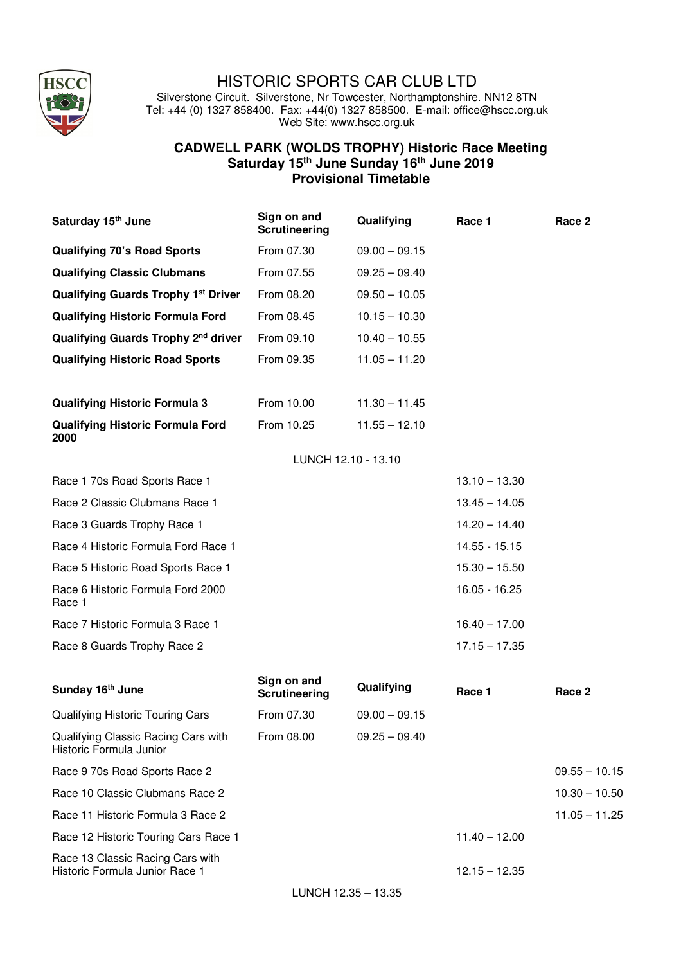

## HISTORIC SPORTS CAR CLUB LTD

Silverstone Circuit. Silverstone, Nr Towcester, Northamptonshire. NN12 8TN Tel: +44 (0) 1327 858400. Fax: +44(0) 1327 858500. E-mail: office@hscc.org.uk Web Site: www.hscc.org.uk

## **CADWELL PARK (WOLDS TROPHY) Historic Race Meeting Saturday 15th June Sunday 16th June 2019 Provisional Timetable**

| Saturday 15 <sup>th</sup> June                                     | Sign on and<br><b>Scrutineering</b> | Qualifying          | Race 1          | Race 2          |
|--------------------------------------------------------------------|-------------------------------------|---------------------|-----------------|-----------------|
| <b>Qualifying 70's Road Sports</b>                                 | From 07.30                          | $09.00 - 09.15$     |                 |                 |
| <b>Qualifying Classic Clubmans</b>                                 | From 07.55                          | $09.25 - 09.40$     |                 |                 |
| <b>Qualifying Guards Trophy 1st Driver</b>                         | From 08.20                          | $09.50 - 10.05$     |                 |                 |
| <b>Qualifying Historic Formula Ford</b>                            | From 08.45                          | $10.15 - 10.30$     |                 |                 |
| Qualifying Guards Trophy 2 <sup>nd</sup> driver                    | From 09.10                          | $10.40 - 10.55$     |                 |                 |
| <b>Qualifying Historic Road Sports</b>                             | From 09.35                          | $11.05 - 11.20$     |                 |                 |
|                                                                    |                                     |                     |                 |                 |
| <b>Qualifying Historic Formula 3</b>                               | From 10.00                          | $11.30 - 11.45$     |                 |                 |
| <b>Qualifying Historic Formula Ford</b><br>2000                    | From 10.25                          | $11.55 - 12.10$     |                 |                 |
|                                                                    |                                     | LUNCH 12.10 - 13.10 |                 |                 |
| Race 1 70s Road Sports Race 1                                      |                                     |                     | $13.10 - 13.30$ |                 |
| Race 2 Classic Clubmans Race 1                                     |                                     |                     | $13.45 - 14.05$ |                 |
| Race 3 Guards Trophy Race 1                                        |                                     |                     | $14.20 - 14.40$ |                 |
| Race 4 Historic Formula Ford Race 1                                |                                     |                     | 14.55 - 15.15   |                 |
| Race 5 Historic Road Sports Race 1                                 |                                     |                     | $15.30 - 15.50$ |                 |
| Race 6 Historic Formula Ford 2000<br>Race 1                        |                                     |                     | 16.05 - 16.25   |                 |
| Race 7 Historic Formula 3 Race 1                                   |                                     |                     | $16.40 - 17.00$ |                 |
| Race 8 Guards Trophy Race 2                                        |                                     |                     | $17.15 - 17.35$ |                 |
| Sunday 16th June                                                   | Sign on and<br><b>Scrutineering</b> | Qualifying          | Race 1          | Race 2          |
| Qualifying Historic Touring Cars                                   | From 07.30                          | $09.00 - 09.15$     |                 |                 |
| Qualifying Classic Racing Cars with<br>Historic Formula Junior     | From 08.00                          | $09.25 - 09.40$     |                 |                 |
| Race 9 70s Road Sports Race 2                                      |                                     |                     |                 | $09.55 - 10.15$ |
| Race 10 Classic Clubmans Race 2                                    |                                     |                     |                 | $10.30 - 10.50$ |
| Race 11 Historic Formula 3 Race 2                                  |                                     |                     |                 | $11.05 - 11.25$ |
| Race 12 Historic Touring Cars Race 1                               |                                     |                     | $11.40 - 12.00$ |                 |
| Race 13 Classic Racing Cars with<br>Historic Formula Junior Race 1 |                                     |                     | $12.15 - 12.35$ |                 |
|                                                                    |                                     | LUNCH 12.35 - 13.35 |                 |                 |